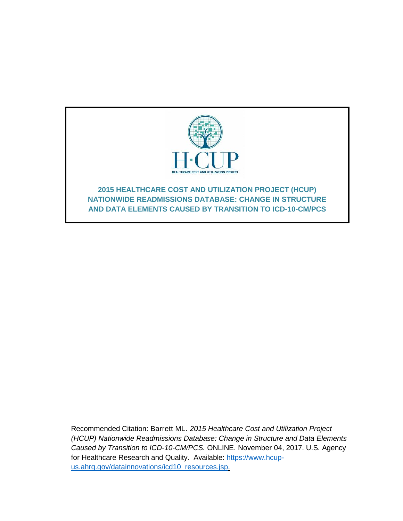

Recommended Citation: Barrett ML. *2015 Healthcare Cost and Utilization Project (HCUP) Nationwide Readmissions Database: Change in Structure and Data Elements Caused by Transition to ICD-10-CM/PCS.* ONLINE. November 04, 2017. U.S. Agency for Healthcare Research and Quality. Available: [https://www.hcup](http://www.hcup-us.ahrq.gov/reports/methods/methods.jsp)[us.ahrq.gov/datainnovations/icd10\\_resources.jsp.](http://www.hcup-us.ahrq.gov/reports/methods/methods.jsp)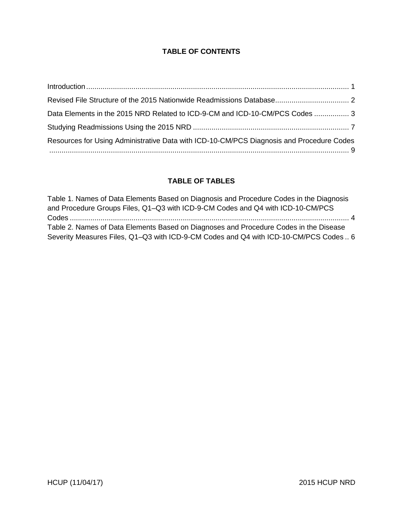## **TABLE OF CONTENTS**

| Data Elements in the 2015 NRD Related to ICD-9-CM and ICD-10-CM/PCS Codes  3             |  |
|------------------------------------------------------------------------------------------|--|
|                                                                                          |  |
| Resources for Using Administrative Data with ICD-10-CM/PCS Diagnosis and Procedure Codes |  |

# **TABLE OF TABLES**

| Table 1. Names of Data Elements Based on Diagnosis and Procedure Codes in the Diagnosis |  |
|-----------------------------------------------------------------------------------------|--|
| and Procedure Groups Files, Q1-Q3 with ICD-9-CM Codes and Q4 with ICD-10-CM/PCS         |  |
|                                                                                         |  |
| Table 2. Names of Data Elements Based on Diagnoses and Procedure Codes in the Disease   |  |
| Severity Measures Files, Q1-Q3 with ICD-9-CM Codes and Q4 with ICD-10-CM/PCS Codes  6   |  |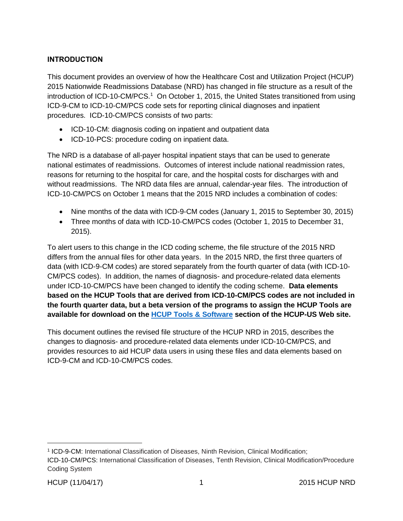## <span id="page-2-0"></span>**INTRODUCTION**

This document provides an overview of how the Healthcare Cost and Utilization Project (HCUP) 2015 Nationwide Readmissions Database (NRD) has changed in file structure as a result of the introduction of ICD-10-CM/PCS.<sup>1</sup> On October 1, 2015, the United States transitioned from using ICD-9-CM to ICD-10-CM/PCS code sets for reporting clinical diagnoses and inpatient procedures. ICD-10-CM/PCS consists of two parts:

- ICD-10-CM: diagnosis coding on inpatient and outpatient data
- ICD-10-PCS: procedure coding on inpatient data.

The NRD is a database of all-payer hospital inpatient stays that can be used to generate national estimates of readmissions. Outcomes of interest include national readmission rates, reasons for returning to the hospital for care, and the hospital costs for discharges with and without readmissions. The NRD data files are annual, calendar-year files. The introduction of ICD-10-CM/PCS on October 1 means that the 2015 NRD includes a combination of codes:

- Nine months of the data with ICD-9-CM codes (January 1, 2015 to September 30, 2015)
- Three months of data with ICD-10-CM/PCS codes (October 1, 2015 to December 31, 2015).

To alert users to this change in the ICD coding scheme, the file structure of the 2015 NRD differs from the annual files for other data years. In the 2015 NRD, the first three quarters of data (with ICD-9-CM codes) are stored separately from the fourth quarter of data (with ICD-10- CM/PCS codes). In addition, the names of diagnosis- and procedure-related data elements under ICD-10-CM/PCS have been changed to identify the coding scheme. **Data elements based on the HCUP Tools that are derived from ICD-10-CM/PCS codes are not included in the fourth quarter data, but a beta version of the programs to assign the HCUP Tools are available for download on the [HCUP Tools & Software](https://www.hcup-us.ahrq.gov/tools_software.jsp) section of the HCUP-US Web site.**

This document outlines the revised file structure of the HCUP NRD in 2015, describes the changes to diagnosis- and procedure-related data elements under ICD-10-CM/PCS, and provides resources to aid HCUP data users in using these files and data elements based on ICD-9-CM and ICD-10-CM/PCS codes.

<sup>1</sup> ICD-9-CM: International Classification of Diseases, Ninth Revision, Clinical Modification;

ICD-10-CM/PCS: International Classification of Diseases, Tenth Revision, Clinical Modification/Procedure Coding System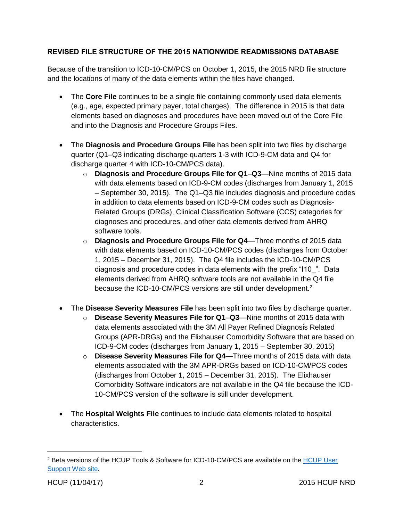### <span id="page-3-0"></span>**REVISED FILE STRUCTURE OF THE 2015 NATIONWIDE READMISSIONS DATABASE**

Because of the transition to ICD-10-CM/PCS on October 1, 2015, the 2015 NRD file structure and the locations of many of the data elements within the files have changed.

- The **Core File** continues to be a single file containing commonly used data elements (e.g., age, expected primary payer, total charges). The difference in 2015 is that data elements based on diagnoses and procedures have been moved out of the Core File and into the Diagnosis and Procedure Groups Files.
- The **Diagnosis and Procedure Groups File** has been split into two files by discharge quarter (Q1–Q3 indicating discharge quarters 1-3 with ICD-9-CM data and Q4 for discharge quarter 4 with ICD-10-CM/PCS data).
	- o **Diagnosis and Procedure Groups File for Q1**–**Q3**—Nine months of 2015 data with data elements based on ICD-9-CM codes (discharges from January 1, 2015 – September 30, 2015). The Q1–Q3 file includes diagnosis and procedure codes in addition to data elements based on ICD-9-CM codes such as Diagnosis-Related Groups (DRGs), Clinical Classification Software (CCS) categories for diagnoses and procedures, and other data elements derived from AHRQ software tools.
	- o **Diagnosis and Procedure Groups File for Q4**—Three months of 2015 data with data elements based on ICD-10-CM/PCS codes (discharges from October 1, 2015 – December 31, 2015). The Q4 file includes the ICD-10-CM/PCS diagnosis and procedure codes in data elements with the prefix "I10\_". Data elements derived from AHRQ software tools are not available in the Q4 file because the ICD-10-CM/PCS versions are still under development.<sup>2</sup>
- The **Disease Severity Measures File** has been split into two files by discharge quarter.
	- o **Disease Severity Measures File for Q1**–**Q3**—Nine months of 2015 data with data elements associated with the 3M All Payer Refined Diagnosis Related Groups (APR-DRGs) and the Elixhauser Comorbidity Software that are based on ICD-9-CM codes (discharges from January 1, 2015 – September 30, 2015)
	- o **Disease Severity Measures File for Q4**—Three months of 2015 data with data elements associated with the 3M APR-DRGs based on ICD-10-CM/PCS codes (discharges from October 1, 2015 – December 31, 2015). The Elixhauser Comorbidity Software indicators are not available in the Q4 file because the ICD-10-CM/PCS version of the software is still under development.
- The **Hospital Weights File** continues to include data elements related to hospital characteristics.

<sup>2</sup> Beta versions of the HCUP Tools & Software for ICD-10-CM/PCS are available on the [HCUP User](https://www.hcup-us.ahrq.gov/tools_software.jsp)  [Support Web site.](https://www.hcup-us.ahrq.gov/tools_software.jsp)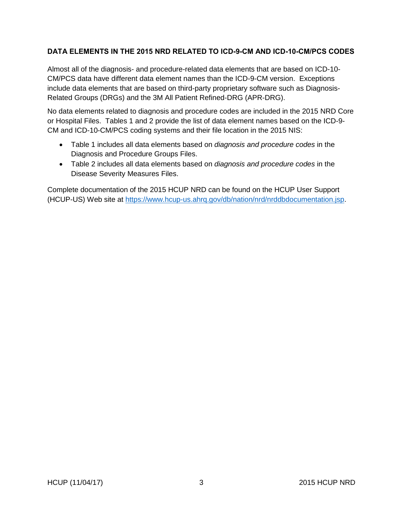#### <span id="page-4-0"></span>**DATA ELEMENTS IN THE 2015 NRD RELATED TO ICD-9-CM AND ICD-10-CM/PCS CODES**

Almost all of the diagnosis- and procedure-related data elements that are based on ICD-10- CM/PCS data have different data element names than the ICD-9-CM version. Exceptions include data elements that are based on third-party proprietary software such as Diagnosis-Related Groups (DRGs) and the 3M All Patient Refined-DRG (APR-DRG).

No data elements related to diagnosis and procedure codes are included in the 2015 NRD Core or Hospital Files. Tables 1 and 2 provide the list of data element names based on the ICD-9- CM and ICD-10-CM/PCS coding systems and their file location in the 2015 NIS:

- Table 1 includes all data elements based on *diagnosis and procedure codes* in the Diagnosis and Procedure Groups Files.
- Table 2 includes all data elements based on *diagnosis and procedure codes* in the Disease Severity Measures Files.

Complete documentation of the 2015 HCUP NRD can be found on the HCUP User Support (HCUP-US) Web site at [https://www.hcup-us.ahrq.gov/db/nation/nrd/nrddbdocumentation.jsp.](https://www.hcup-us.ahrq.gov/db/nation/nrd/nrddbdocumentation.jsp)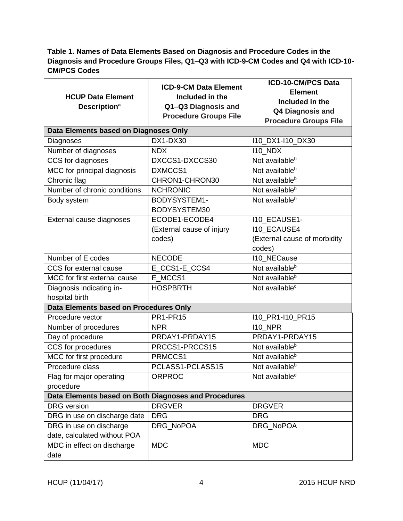# <span id="page-5-0"></span>**Table 1. Names of Data Elements Based on Diagnosis and Procedure Codes in the Diagnosis and Procedure Groups Files, Q1–Q3 with ICD-9-CM Codes and Q4 with ICD-10- CM/PCS Codes**

| <b>HCUP Data Element</b>                             | <b>ICD-9-CM Data Element</b><br>Included in the | <b>ICD-10-CM/PCS Data</b>    |  |  |
|------------------------------------------------------|-------------------------------------------------|------------------------------|--|--|
|                                                      |                                                 | <b>Element</b>               |  |  |
| <b>Description<sup>a</sup></b>                       | Q1-Q3 Diagnosis and                             | Included in the              |  |  |
|                                                      | <b>Procedure Groups File</b>                    | <b>Q4 Diagnosis and</b>      |  |  |
|                                                      |                                                 | <b>Procedure Groups File</b> |  |  |
| Data Elements based on Diagnoses Only                |                                                 |                              |  |  |
| Diagnoses                                            | DX1-DX30                                        | 110_DX1-110_DX30             |  |  |
| Number of diagnoses                                  | <b>NDX</b>                                      | <b>I10_NDX</b>               |  |  |
| CCS for diagnoses                                    | DXCCS1-DXCCS30                                  | Not available <sup>b</sup>   |  |  |
| MCC for principal diagnosis                          | DXMCCS1                                         | Not available <sup>b</sup>   |  |  |
| Chronic flag                                         | CHRON1-CHRON30                                  | Not available <sup>b</sup>   |  |  |
| Number of chronic conditions                         | <b>NCHRONIC</b>                                 | Not available <sup>b</sup>   |  |  |
| Body system                                          | BODYSYSTEM1-                                    | Not available <sup>b</sup>   |  |  |
|                                                      | BODYSYSTEM30                                    |                              |  |  |
| External cause diagnoses                             | ECODE1-ECODE4                                   | I10_ECAUSE1-                 |  |  |
|                                                      | (External cause of injury                       | <b>110 ECAUSE4</b>           |  |  |
|                                                      | codes)                                          | (External cause of morbidity |  |  |
|                                                      |                                                 | codes)                       |  |  |
| Number of E codes                                    | <b>NECODE</b>                                   | <b>110 NECause</b>           |  |  |
| CCS for external cause                               | E_CCS1-E_CCS4                                   | Not available <sup>b</sup>   |  |  |
| MCC for first external cause                         | E MCCS1                                         | Not available <sup>b</sup>   |  |  |
| Diagnosis indicating in-                             | <b>HOSPBRTH</b>                                 | Not available <sup>c</sup>   |  |  |
| hospital birth                                       |                                                 |                              |  |  |
| Data Elements based on Procedures Only               |                                                 |                              |  |  |
| Procedure vector                                     | <b>PR1-PR15</b>                                 | I10_PR1-I10_PR15             |  |  |
| Number of procedures                                 | <b>NPR</b>                                      | <b>110 NPR</b>               |  |  |
| Day of procedure                                     | PRDAY1-PRDAY15                                  | PRDAY1-PRDAY15               |  |  |
| CCS for procedures                                   | PRCCS1-PRCCS15                                  | Not available <sup>b</sup>   |  |  |
| MCC for first procedure                              | PRMCCS1                                         | Not available <sup>b</sup>   |  |  |
| Procedure class                                      | PCLASS1-PCLASS15                                | Not available <sup>b</sup>   |  |  |
| Flag for major operating                             | <b>ORPROC</b>                                   | Not available <sup>d</sup>   |  |  |
| procedure                                            |                                                 |                              |  |  |
| Data Elements based on Both Diagnoses and Procedures |                                                 |                              |  |  |
| <b>DRG</b> version                                   | <b>DRGVER</b>                                   | <b>DRGVER</b>                |  |  |
| DRG in use on discharge date                         | <b>DRG</b>                                      | <b>DRG</b>                   |  |  |
| DRG in use on discharge                              | DRG_NoPOA                                       | DRG_NoPOA                    |  |  |
| date, calculated without POA                         |                                                 |                              |  |  |
| MDC in effect on discharge                           | <b>MDC</b>                                      | <b>MDC</b>                   |  |  |
| date                                                 |                                                 |                              |  |  |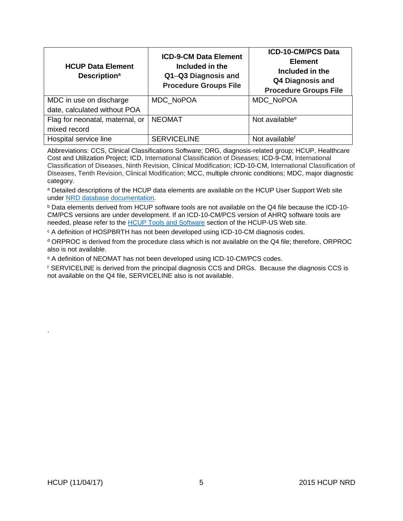| <b>HCUP Data Element</b><br><b>Description<sup>a</sup></b> | <b>ICD-9-CM Data Element</b><br>Included in the<br>Q1-Q3 Diagnosis and<br><b>Procedure Groups File</b> | <b>ICD-10-CM/PCS Data</b><br><b>Element</b><br>Included in the<br><b>Q4 Diagnosis and</b><br><b>Procedure Groups File</b> |
|------------------------------------------------------------|--------------------------------------------------------------------------------------------------------|---------------------------------------------------------------------------------------------------------------------------|
| MDC in use on discharge<br>date, calculated without POA    | MDC NoPOA                                                                                              | MDC NoPOA                                                                                                                 |
| Flag for neonatal, maternal, or<br>mixed record            | <b>NEOMAT</b>                                                                                          | Not available <sup>e</sup>                                                                                                |
| Hospital service line                                      | <b>SERVICELINE</b>                                                                                     | Not available <sup>f</sup>                                                                                                |

Abbreviations: CCS, Clinical Classifications Software; DRG, diagnosis-related group; HCUP, Healthcare Cost and Utilization Project; ICD, International Classification of Diseases; ICD-9-CM, International Classification of Diseases, Ninth Revision, Clinical Modification; ICD-10-CM, International Classification of Diseases, Tenth Revision, Clinical Modification; MCC, multiple chronic conditions; MDC, major diagnostic category.

a Detailed descriptions of the HCUP data elements are available on the HCUP User Support Web site under [NRD database documentation.](https://www.hcup-us.ahrq.gov/db/nation/nrd/nrddbdocumentation.jsp)

<sup>b</sup> Data elements derived from HCUP software tools are not available on the Q4 file because the ICD-10- CM/PCS versions are under development. If an ICD-10-CM/PCS version of AHRQ software tools are needed, please refer to the HCUP [Tools and Software](https://www.hcup-us.ahrq.gov/tools_software.jsp) section of the HCUP-US Web site.

<sup>c</sup> A definition of HOSPBRTH has not been developed using ICD-10-CM diagnosis codes.

<sup>d</sup> ORPROC is derived from the procedure class which is not available on the Q4 file; therefore, ORPROC also is not available.

<sup>e</sup> A definition of NEOMAT has not been developed using ICD-10-CM/PCS codes.

<sup>f</sup> SERVICELINE is derived from the principal diagnosis CCS and DRGs. Because the diagnosis CCS is not available on the Q4 file, SERVICELINE also is not available.

.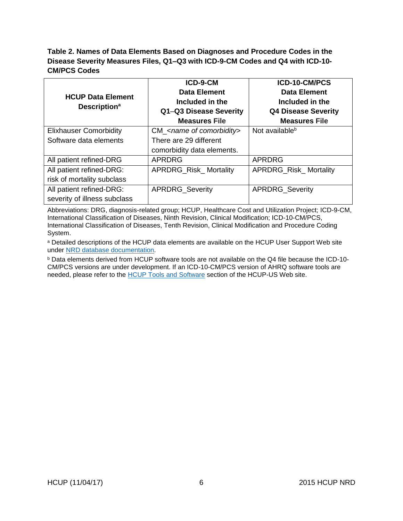### <span id="page-7-0"></span>**Table 2. Names of Data Elements Based on Diagnoses and Procedure Codes in the Disease Severity Measures Files, Q1–Q3 with ICD-9-CM Codes and Q4 with ICD-10- CM/PCS Codes**

|                                 | ICD-9-CM                                | ICD-10-CM/PCS                |
|---------------------------------|-----------------------------------------|------------------------------|
| <b>HCUP Data Element</b>        | <b>Data Element</b>                     | <b>Data Element</b>          |
|                                 | Included in the                         | Included in the              |
| <b>Description</b> <sup>a</sup> | Q1-Q3 Disease Severity                  | <b>Q4 Disease Severity</b>   |
|                                 | <b>Measures File</b>                    | <b>Measures File</b>         |
| <b>Elixhauser Comorbidity</b>   | $CM$ <name comorbidity="" of=""></name> | Not available <sup>b</sup>   |
| Software data elements          | There are 29 different                  |                              |
|                                 | comorbidity data elements.              |                              |
| All patient refined-DRG         | <b>APRDRG</b>                           | <b>APRDRG</b>                |
| All patient refined-DRG:        | <b>APRDRG_Risk_Mortality</b>            | <b>APRDRG_Risk_Mortality</b> |
| risk of mortality subclass      |                                         |                              |
| All patient refined-DRG:        | <b>APRDRG Severity</b>                  | APRDRG_Severity              |
| severity of illness subclass    |                                         |                              |

Abbreviations: DRG, diagnosis-related group; HCUP, Healthcare Cost and Utilization Project; ICD-9-CM, International Classification of Diseases, Ninth Revision, Clinical Modification; ICD-10-CM/PCS, International Classification of Diseases, Tenth Revision, Clinical Modification and Procedure Coding System.

a Detailed descriptions of the HCUP data elements are available on the HCUP User Support Web site under [NRD database documentation.](https://www.hcup-us.ahrq.gov/db/nation/nrd/nrddbdocumentation.jsp)

<sup>b</sup> Data elements derived from HCUP software tools are not available on the Q4 file because the ICD-10- CM/PCS versions are under development. If an ICD-10-CM/PCS version of AHRQ software tools are needed, please refer to the **HCUP Tools and Software** section of the HCUP-US Web site.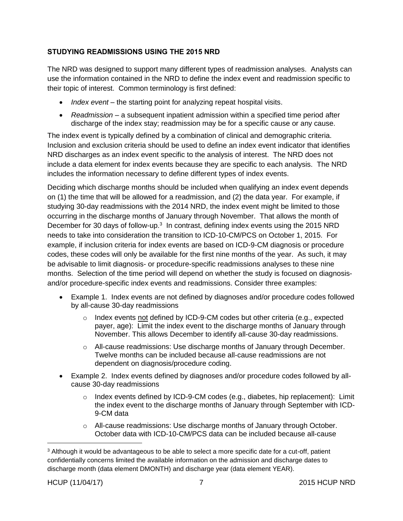## <span id="page-8-0"></span>**STUDYING READMISSIONS USING THE 2015 NRD**

The NRD was designed to support many different types of readmission analyses. Analysts can use the information contained in the NRD to define the index event and readmission specific to their topic of interest. Common terminology is first defined:

- *Index event* the starting point for analyzing repeat hospital visits.
- *Readmission* a subsequent inpatient admission within a specified time period after discharge of the index stay; readmission may be for a specific cause or any cause.

The index event is typically defined by a combination of clinical and demographic criteria. Inclusion and exclusion criteria should be used to define an index event indicator that identifies NRD discharges as an index event specific to the analysis of interest. The NRD does not include a data element for index events because they are specific to each analysis. The NRD includes the information necessary to define different types of index events.

Deciding which discharge months should be included when qualifying an index event depends on (1) the time that will be allowed for a readmission, and (2) the data year. For example, if studying 30-day readmissions with the 2014 NRD, the index event might be limited to those occurring in the discharge months of January through November. That allows the month of December for 30 days of follow-up.<sup>3</sup> In contrast, defining index events using the 2015 NRD needs to take into consideration the transition to ICD-10-CM/PCS on October 1, 2015. For example, if inclusion criteria for index events are based on ICD-9-CM diagnosis or procedure codes, these codes will only be available for the first nine months of the year. As such, it may be advisable to limit diagnosis- or procedure-specific readmissions analyses to these nine months. Selection of the time period will depend on whether the study is focused on diagnosisand/or procedure-specific index events and readmissions. Consider three examples:

- Example 1. Index events are not defined by diagnoses and/or procedure codes followed by all-cause 30-day readmissions
	- $\circ$  Index events not defined by ICD-9-CM codes but other criteria (e.g., expected payer, age): Limit the index event to the discharge months of January through November. This allows December to identify all-cause 30-day readmissions.
	- $\circ$  All-cause readmissions: Use discharge months of January through December. Twelve months can be included because all-cause readmissions are not dependent on diagnosis/procedure coding.
- Example 2. Index events defined by diagnoses and/or procedure codes followed by allcause 30-day readmissions
	- o Index events defined by ICD-9-CM codes (e.g., diabetes, hip replacement): Limit the index event to the discharge months of January through September with ICD-9-CM data
	- $\circ$  All-cause readmissions: Use discharge months of January through October. October data with ICD-10-CM/PCS data can be included because all-cause

<sup>&</sup>lt;sup>3</sup> Although it would be advantageous to be able to select a more specific date for a cut-off, patient confidentially concerns limited the available information on the admission and discharge dates to discharge month (data element DMONTH) and discharge year (data element YEAR).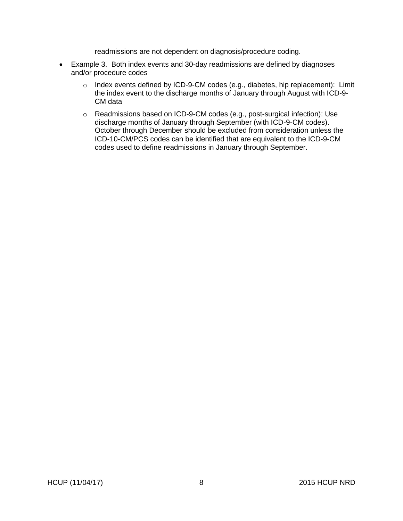readmissions are not dependent on diagnosis/procedure coding.

- Example 3. Both index events and 30-day readmissions are defined by diagnoses and/or procedure codes
	- o Index events defined by ICD-9-CM codes (e.g., diabetes, hip replacement): Limit the index event to the discharge months of January through August with ICD-9- CM data
	- o Readmissions based on ICD-9-CM codes (e.g., post-surgical infection): Use discharge months of January through September (with ICD-9-CM codes). October through December should be excluded from consideration unless the ICD-10-CM/PCS codes can be identified that are equivalent to the ICD-9-CM codes used to define readmissions in January through September.